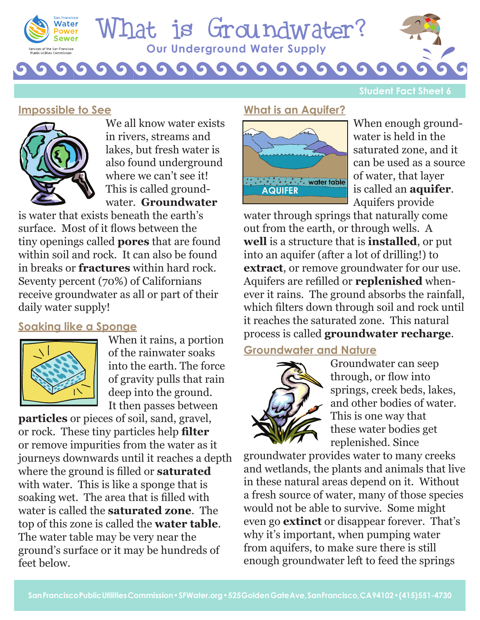

# **Our Underground Water Supply** hat is Groundwater?

G

**Student Fact Sheet 6**

### **Impossible to See**



We all know water exists in rivers, streams and lakes, but fresh water is also found underground where we can't see it! This is called groundwater. **Groundwater**

G

is water that exists beneath the earth's surface. Most of it flows between the tiny openings called **pores** that are found within soil and rock. It can also be found in breaks or **fractures** within hard rock. Seventy percent (70%) of Californians receive groundwater as all or part of their daily water supply!

### **Soaking like a Sponge**



When it rains, a portion of the rainwater soaks into the earth. The force of gravity pulls that rain deep into the ground. It then passes between

**particles** or pieces of soil, sand, gravel, or rock. These tiny particles help **filter** or remove impurities from the water as it journeys downwards until it reaches a depth where the ground is filled or **saturated** with water. This is like a sponge that is soaking wet. The area that is filled with water is called the **saturated zone**. The top of this zone is called the **water table**. The water table may be very near the ground's surface or it may be hundreds of feet below.

### **What is an Aquifer?**



When enough groundwater is held in the saturated zone, and it can be used as a source of water, that layer is called an **aquifer**. Aquifers provide

water through springs that naturally come out from the earth, or through wells. A **well** is a structure that is **installed**, or put into an aquifer (after a lot of drilling!) to **extract**, or remove groundwater for our use. Aquifers are refilled or **replenished** whenever it rains. The ground absorbs the rainfall, which filters down through soil and rock until it reaches the saturated zone. This natural process is called **groundwater recharge**.

## **Groundwater and Nature**



Groundwater can seep through, or flow into springs, creek beds, lakes, and other bodies of water. This is one way that these water bodies get replenished. Since

groundwater provides water to many creeks and wetlands, the plants and animals that live in these natural areas depend on it. Without a fresh source of water, many of those species would not be able to survive. Some might even go **extinct** or disappear forever. That's why it's important, when pumping water from aquifers, to make sure there is still enough groundwater left to feed the springs